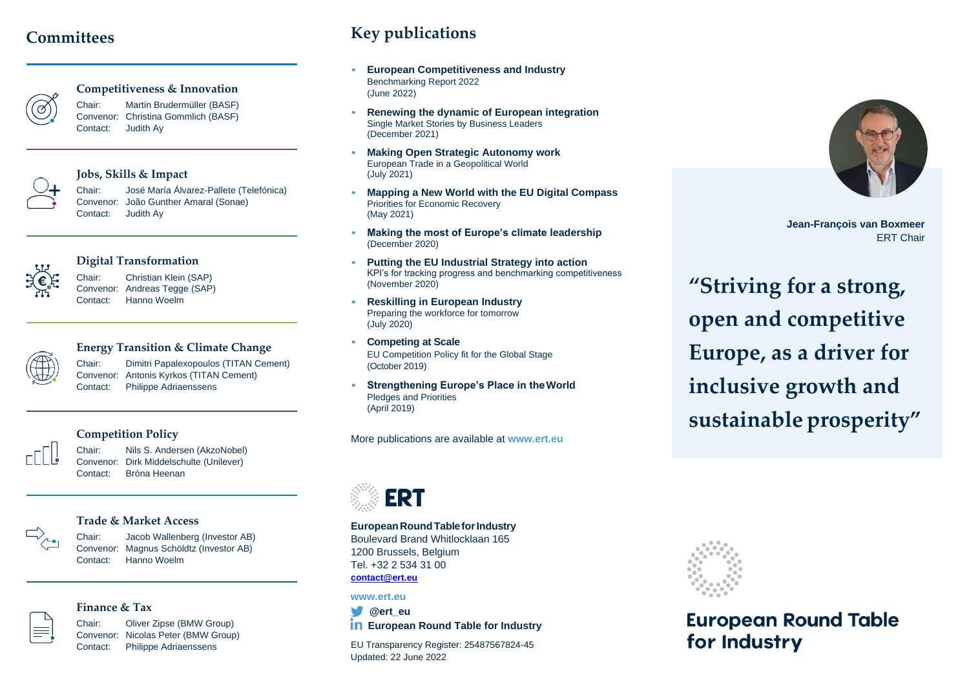## **Committees**



### **Competitiveness & Innovation**

Chair: Martin Brudermüller (BASF) Convenor: Christina Gommlich (BASF) Contact: Judith Ay



## **Jobs, Skills & Impact**

Chair: José María Álvarez-Pallete (Telefónica) Convenor: João Gunther Amaral (Sonae) Contact: Judith Ay



## **Digital Transformation**

Chair: Christian Klein (SAP) Convenor: Andreas Tegge (SAP) Contact: Hanno Woelm



## **Energy Transition & Climate Change**

Chair: Dimitri Papalexopoulos (TITAN Cement) Convenor: Antonis Kyrkos (TITAN Cement) Contact: Philippe Adriaenssens

Chair: Nils S. Andersen (AkzoNobel) Convenor: Dirk Middelschulte (Unilever)

## **Competition Policy**

Contact: Bróna Heenan

## **Trade & Market Access**



# **Finance & Tax**



Chair: Oliver Zipse (BMW Group) Convenor: Nicolas Peter (BMW Group) Contact: Philippe Adriaenssens

## **Key publications**

- **• European Competitiveness and Industry**  Benchmarking Report 2022 (June 2022)
- **• Renewing the dynamic of European integration** Single Market Stories by Business Leaders (December 2021)
- **• Making Open Strategic Autonomy work** European Trade in a Geopolitical World (July 2021)
- **• Mapping a New World with the EU Digital Compass** Priorities for Economic Recovery (May 2021)
- **• Making the most of Europe's climate leadership** (December 2020)
- **• Putting the EU Industrial Strategy into action** KPI's for tracking progress and benchmarking competitiveness (November 2020)
- **• Reskilling in European Industry** Preparing the workforce for tomorrow (July 2020)
- **• Competing at Scale** EU Competition Policy fit for the Global Stage (October 2019)
- **• Strengthening Europe's Place in theWorld** Pledges and Priorities (April 2019)

More publications are available at **[www.ert.eu](https://ert.eu/)**



**EuropeanRoundTableforIndustry**  Boulevard Brand Whitlocklaan 165 1200 Brussels, Belgium Tel. +32 2 534 31 00

**[contact@ert.eu](mailto:contact@ert.eu)**

## **[www.ert.eu](https://ert.eu/)**

**[@ert\\_eu](https://twitter.com/ert_eu) In [European Round Table for Industry](https://www.linkedin.com/company/european-round-table-of-industrialists---ert/)** 

EU Transparency Register: 25487567824-45 Updated: 22 June 2022



## **Jean-François van Boxmeer** ERT Chair

**"Striving for a strong, open and competitive Europe, as a driver for inclusive growth and sustainable prosperity"**



**European Round Table** for Industry